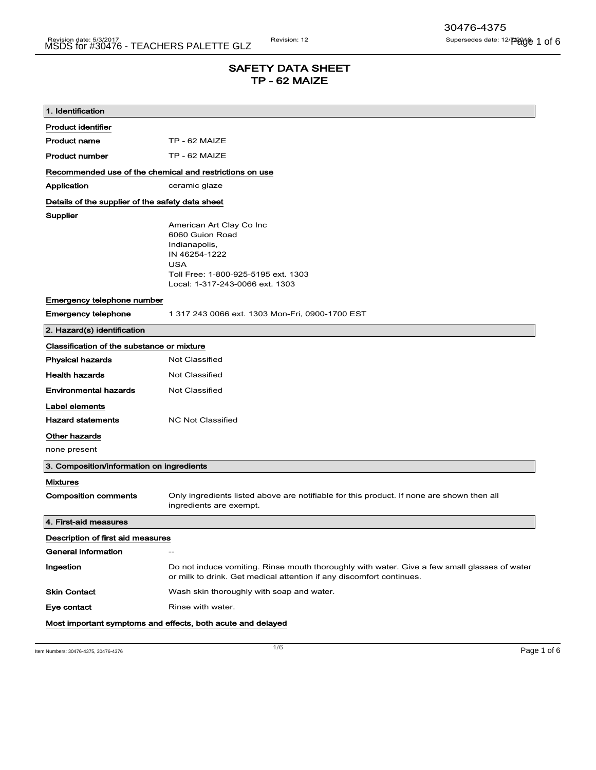# SAFETY DATA SHEET TP - 62 MAIZE

| 1. Identification                                       |                                                                                                                                                                       |  |
|---------------------------------------------------------|-----------------------------------------------------------------------------------------------------------------------------------------------------------------------|--|
| <b>Product identifier</b>                               |                                                                                                                                                                       |  |
| <b>Product name</b>                                     | TP - 62 MAIZE                                                                                                                                                         |  |
| <b>Product number</b>                                   | TP - 62 MAIZE                                                                                                                                                         |  |
| Recommended use of the chemical and restrictions on use |                                                                                                                                                                       |  |
| Application                                             | ceramic glaze                                                                                                                                                         |  |
| Details of the supplier of the safety data sheet        |                                                                                                                                                                       |  |
| Supplier                                                | American Art Clay Co Inc<br>6060 Guion Road<br>Indianapolis,<br>IN 46254-1222<br><b>USA</b><br>Toll Free: 1-800-925-5195 ext. 1303<br>Local: 1-317-243-0066 ext. 1303 |  |
| Emergency telephone number                              |                                                                                                                                                                       |  |
| <b>Emergency telephone</b>                              | 1 317 243 0066 ext. 1303 Mon-Fri, 0900-1700 EST                                                                                                                       |  |
| 2. Hazard(s) identification                             |                                                                                                                                                                       |  |
| Classification of the substance or mixture              |                                                                                                                                                                       |  |
| <b>Physical hazards</b>                                 | <b>Not Classified</b>                                                                                                                                                 |  |
| <b>Health hazards</b>                                   | Not Classified                                                                                                                                                        |  |
| <b>Environmental hazards</b>                            | <b>Not Classified</b>                                                                                                                                                 |  |
| Label elements                                          |                                                                                                                                                                       |  |
| <b>Hazard statements</b>                                | <b>NC Not Classified</b>                                                                                                                                              |  |
| Other hazards                                           |                                                                                                                                                                       |  |
| none present                                            |                                                                                                                                                                       |  |
| 3. Composition/information on ingredients               |                                                                                                                                                                       |  |
| <b>Mixtures</b>                                         |                                                                                                                                                                       |  |
| <b>Composition comments</b>                             | Only ingredients listed above are notifiable for this product. If none are shown then all<br>ingredients are exempt.                                                  |  |
| 4. First-aid measures                                   |                                                                                                                                                                       |  |
| Description of first aid measures                       |                                                                                                                                                                       |  |
| General information                                     | $\hspace{0.05cm}$                                                                                                                                                     |  |
| Ingestion                                               | Do not induce vomiting. Rinse mouth thoroughly with water. Give a few small glasses of water<br>or milk to drink. Get medical attention if any discomfort continues.  |  |
| <b>Skin Contact</b>                                     | Wash skin thoroughly with soap and water.                                                                                                                             |  |
| Eye contact                                             | Rinse with water.                                                                                                                                                     |  |
|                                                         | Most important symptoms and effects, both acute and delayed                                                                                                           |  |

Item Numbers: 30476-4375, 30476-4376 Page 1 of 6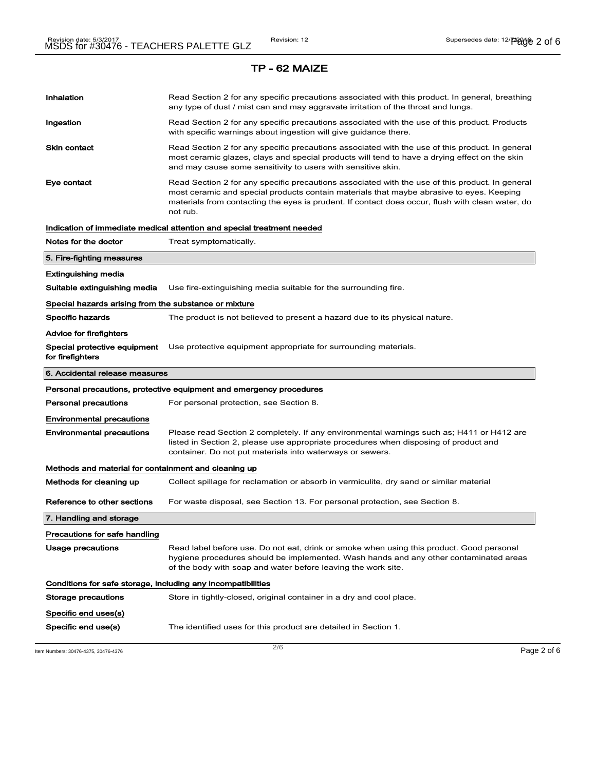| Inhalation                                                   | Read Section 2 for any specific precautions associated with this product. In general, breathing<br>any type of dust / mist can and may aggravate irritation of the throat and lungs.                                                                                                                        |  |  |
|--------------------------------------------------------------|-------------------------------------------------------------------------------------------------------------------------------------------------------------------------------------------------------------------------------------------------------------------------------------------------------------|--|--|
| Ingestion                                                    | Read Section 2 for any specific precautions associated with the use of this product. Products<br>with specific warnings about ingestion will give guidance there.                                                                                                                                           |  |  |
| Skin contact                                                 | Read Section 2 for any specific precautions associated with the use of this product. In general<br>most ceramic glazes, clays and special products will tend to have a drying effect on the skin<br>and may cause some sensitivity to users with sensitive skin.                                            |  |  |
| Eye contact                                                  | Read Section 2 for any specific precautions associated with the use of this product. In general<br>most ceramic and special products contain materials that maybe abrasive to eyes. Keeping<br>materials from contacting the eyes is prudent. If contact does occur, flush with clean water, do<br>not rub. |  |  |
|                                                              | Indication of immediate medical attention and special treatment needed                                                                                                                                                                                                                                      |  |  |
| Notes for the doctor                                         | Treat symptomatically.                                                                                                                                                                                                                                                                                      |  |  |
| 5. Fire-fighting measures                                    |                                                                                                                                                                                                                                                                                                             |  |  |
| Extinguishing media                                          |                                                                                                                                                                                                                                                                                                             |  |  |
| Suitable extinguishing media                                 | Use fire-extinguishing media suitable for the surrounding fire.                                                                                                                                                                                                                                             |  |  |
| Special hazards arising from the substance or mixture        |                                                                                                                                                                                                                                                                                                             |  |  |
| Specific hazards                                             | The product is not believed to present a hazard due to its physical nature.                                                                                                                                                                                                                                 |  |  |
| Advice for firefighters                                      |                                                                                                                                                                                                                                                                                                             |  |  |
| Special protective equipment<br>for firefighters             | Use protective equipment appropriate for surrounding materials.                                                                                                                                                                                                                                             |  |  |
| 6. Accidental release measures                               |                                                                                                                                                                                                                                                                                                             |  |  |
|                                                              |                                                                                                                                                                                                                                                                                                             |  |  |
|                                                              | Personal precautions, protective equipment and emergency procedures                                                                                                                                                                                                                                         |  |  |
| Personal precautions                                         | For personal protection, see Section 8.                                                                                                                                                                                                                                                                     |  |  |
| <b>Environmental precautions</b>                             |                                                                                                                                                                                                                                                                                                             |  |  |
| <b>Environmental precautions</b>                             | Please read Section 2 completely. If any environmental warnings such as; H411 or H412 are<br>listed in Section 2, please use appropriate procedures when disposing of product and<br>container. Do not put materials into waterways or sewers.                                                              |  |  |
| Methods and material for containment and cleaning up         |                                                                                                                                                                                                                                                                                                             |  |  |
| Methods for cleaning up                                      | Collect spillage for reclamation or absorb in vermiculite, dry sand or similar material                                                                                                                                                                                                                     |  |  |
| Reference to other sections                                  | For waste disposal, see Section 13. For personal protection, see Section 8.                                                                                                                                                                                                                                 |  |  |
| 7. Handling and storage                                      |                                                                                                                                                                                                                                                                                                             |  |  |
| Precautions for safe handling                                |                                                                                                                                                                                                                                                                                                             |  |  |
| <b>Usage precautions</b>                                     | Read label before use. Do not eat, drink or smoke when using this product. Good personal<br>hygiene procedures should be implemented. Wash hands and any other contaminated areas<br>of the body with soap and water before leaving the work site.                                                          |  |  |
| Conditions for safe storage, including any incompatibilities |                                                                                                                                                                                                                                                                                                             |  |  |
| Storage precautions                                          | Store in tightly-closed, original container in a dry and cool place.                                                                                                                                                                                                                                        |  |  |
| Specific end uses(s)                                         |                                                                                                                                                                                                                                                                                                             |  |  |

 $\frac{1}{2}$  Item Numbers: 30476-4375, 30476-4376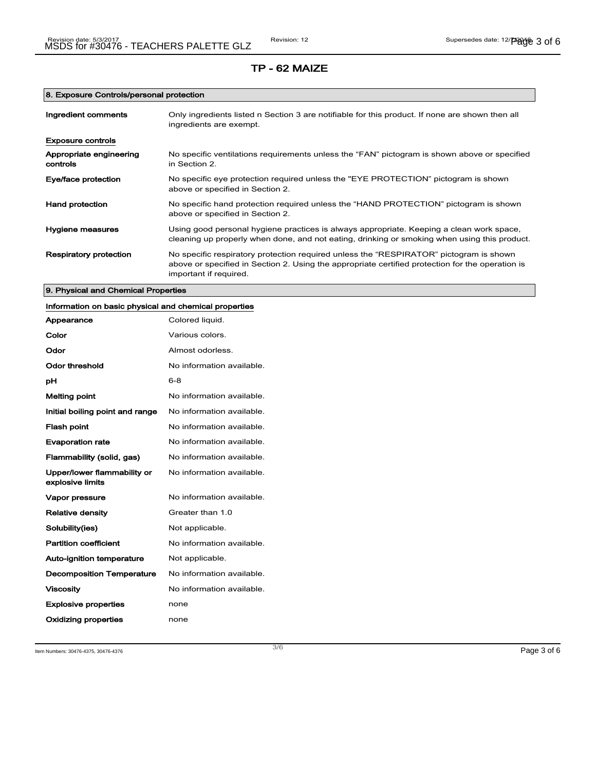## 8. Exposure Controls/personal protection

| Ingredient comments                 | Only ingredients listed n Section 3 are notifiable for this product. If none are shown then all<br>ingredients are exempt.                                                                                           |
|-------------------------------------|----------------------------------------------------------------------------------------------------------------------------------------------------------------------------------------------------------------------|
| <b>Exposure controls</b>            |                                                                                                                                                                                                                      |
| Appropriate engineering<br>controls | No specific ventilations requirements unless the "FAN" pictogram is shown above or specified<br>in Section 2.                                                                                                        |
| Eye/face protection                 | No specific eye protection required unless the "EYE PROTECTION" pictogram is shown<br>above or specified in Section 2.                                                                                               |
| <b>Hand protection</b>              | No specific hand protection required unless the "HAND PROTECTION" pictogram is shown<br>above or specified in Section 2.                                                                                             |
| Hygiene measures                    | Using good personal hygiene practices is always appropriate. Keeping a clean work space,<br>cleaning up properly when done, and not eating, drinking or smoking when using this product.                             |
| Respiratory protection              | No specific respiratory protection required unless the "RESPIRATOR" pictogram is shown<br>above or specified in Section 2. Using the appropriate certified protection for the operation is<br>important if required. |

## 9. Physical and Chemical Properties

| Information on basic physical and chemical properties |                           |
|-------------------------------------------------------|---------------------------|
| Appearance                                            | Colored liquid.           |
| Color                                                 | Various colors.           |
| Odor                                                  | Almost odorless.          |
| <b>Odor threshold</b>                                 | No information available. |
| pH                                                    | $6 - 8$                   |
| <b>Melting point</b>                                  | No information available. |
| Initial boiling point and range                       | No information available. |
| <b>Flash point</b>                                    | No information available. |
| <b>Evaporation rate</b>                               | No information available. |
| Flammability (solid, gas)                             | No information available. |
| Upper/lower flammability or<br>explosive limits       | No information available. |
| Vapor pressure                                        | No information available. |
| <b>Relative density</b>                               | Greater than 1.0          |
| Solubility(ies)                                       | Not applicable.           |
| <b>Partition coefficient</b>                          | No information available. |
| Auto-ignition temperature                             | Not applicable.           |
| <b>Decomposition Temperature</b>                      | No information available. |
| <b>Viscosity</b>                                      | No information available. |
| <b>Explosive properties</b>                           | none                      |
| Oxidizing properties                                  | none                      |

Item Numbers: 30476-4375, 30476-4376  $P$ age 3 of 6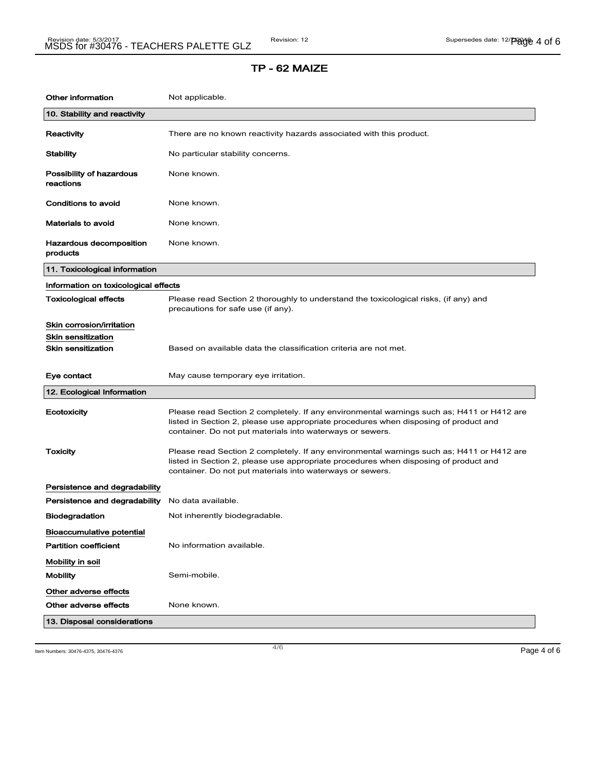| Other information                     | Not applicable.                                                                                                                                                                                                                                |
|---------------------------------------|------------------------------------------------------------------------------------------------------------------------------------------------------------------------------------------------------------------------------------------------|
| 10. Stability and reactivity          |                                                                                                                                                                                                                                                |
| Reactivity                            | There are no known reactivity hazards associated with this product.                                                                                                                                                                            |
| <b>Stability</b>                      | No particular stability concerns.                                                                                                                                                                                                              |
| Possibility of hazardous<br>reactions | None known.                                                                                                                                                                                                                                    |
| <b>Conditions to avoid</b>            | None known.                                                                                                                                                                                                                                    |
| <b>Materials to avoid</b>             | None known.                                                                                                                                                                                                                                    |
| Hazardous decomposition<br>products   | None known.                                                                                                                                                                                                                                    |
| 11. Toxicological information         |                                                                                                                                                                                                                                                |
| Information on toxicological effects  |                                                                                                                                                                                                                                                |
| <b>Toxicological effects</b>          | Please read Section 2 thoroughly to understand the toxicological risks, (if any) and<br>precautions for safe use (if any).                                                                                                                     |
| Skin corrosion/irritation             |                                                                                                                                                                                                                                                |
| <b>Skin sensitization</b>             |                                                                                                                                                                                                                                                |
| <b>Skin sensitization</b>             | Based on available data the classification criteria are not met.                                                                                                                                                                               |
| Eye contact                           | May cause temporary eye irritation.                                                                                                                                                                                                            |
| 12. Ecological Information            |                                                                                                                                                                                                                                                |
| Ecotoxicity                           | Please read Section 2 completely. If any environmental warnings such as; H411 or H412 are<br>listed in Section 2, please use appropriate procedures when disposing of product and<br>container. Do not put materials into waterways or sewers. |
| <b>Toxicity</b>                       | Please read Section 2 completely. If any environmental warnings such as; H411 or H412 are<br>listed in Section 2, please use appropriate procedures when disposing of product and<br>container. Do not put materials into waterways or sewers. |
| Persistence and degradability         |                                                                                                                                                                                                                                                |
| Persistence and degradability         | No data available.                                                                                                                                                                                                                             |
| <b>Biodegradation</b>                 | Not inherently biodegradable.                                                                                                                                                                                                                  |
| <b>Bioaccumulative potential</b>      |                                                                                                                                                                                                                                                |
| <b>Partition coefficient</b>          | No information available.                                                                                                                                                                                                                      |
| Mobility in soil                      |                                                                                                                                                                                                                                                |
| <b>Mobility</b>                       | Semi-mobile.                                                                                                                                                                                                                                   |
| Other adverse effects                 |                                                                                                                                                                                                                                                |
| Other adverse effects                 | None known.                                                                                                                                                                                                                                    |
|                                       |                                                                                                                                                                                                                                                |

Item Numbers: 30476-4375, 30476-4376  $\,$  Page 4 of 6  $\,$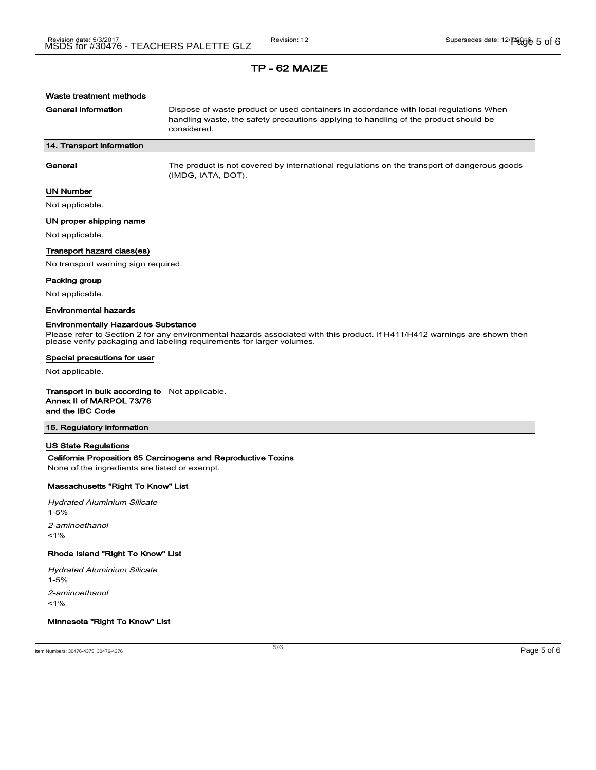### Waste treatment methods

General information **Dispose of waste product or used containers in accordance with local regulations When** handling waste, the safety precautions applying to handling of the product should be considered.

### 14. Transport information

General The product is not covered by international regulations on the transport of dangerous goods (IMDG, IATA, DOT).

#### UN Number

Not applicable.

#### UN proper shipping name

Not applicable.

#### Transport hazard class(es)

No transport warning sign required.

#### Packing group

Not applicable.

#### Environmental hazards

#### Environmentally Hazardous Substance

Please refer to Section 2 for any environmental hazards associated with this product. If H411/H412 warnings are shown then please verify packaging and labeling requirements for larger volumes.

#### Special precautions for user

Not applicable.

#### Transport in bulk according to Not applicable. Annex II of MARPOL 73/78

and the IBC Code

## 15. Regulatory information

#### US State Regulations

## California Proposition 65 Carcinogens and Reproductive Toxins

None of the ingredients are listed or exempt.

### Massachusetts "Right To Know" List

Hydrated Aluminium Silicate 1-5% 2-aminoethanol  $1%$ 

#### Rhode Island "Right To Know" List

Hydrated Aluminium Silicate

1-5%

2-aminoethanol

 $1%$ 

## Minnesota "Right To Know" List